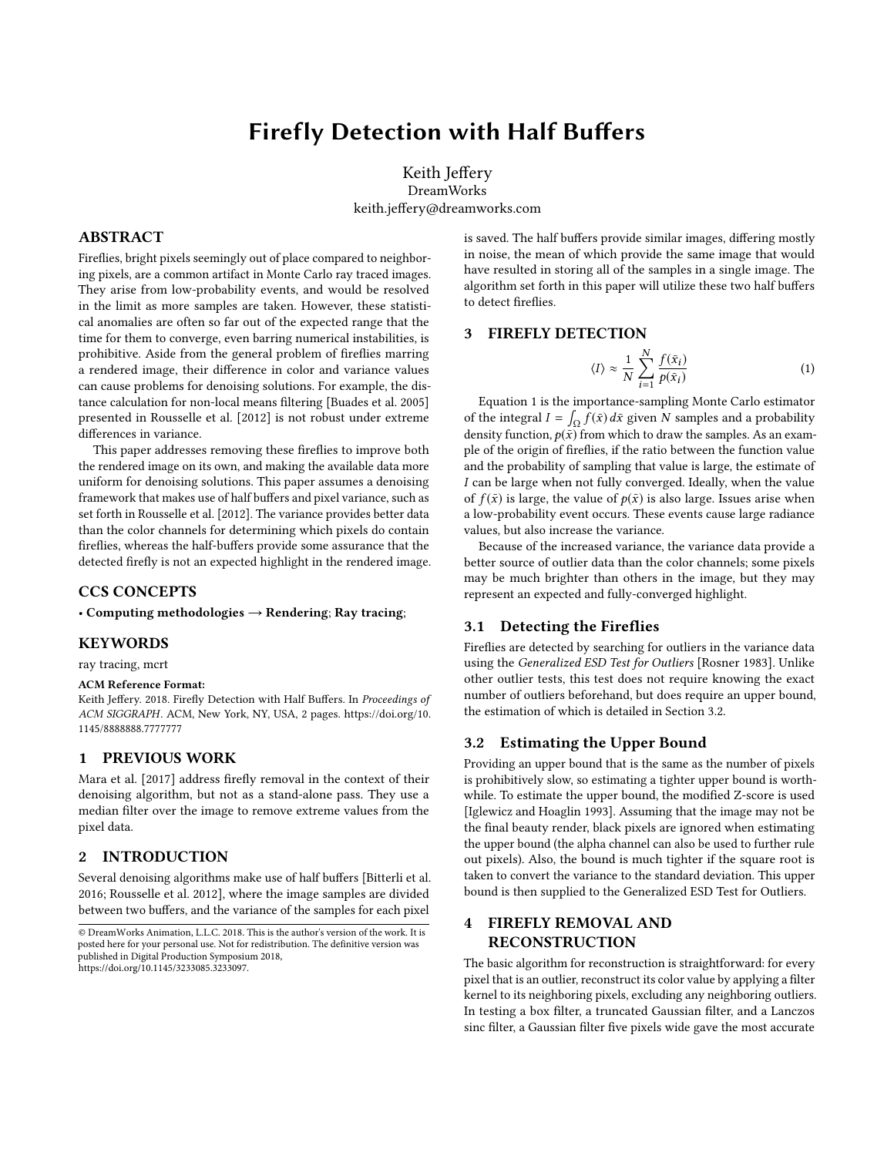# Firefly Detection with Half Buffers

Keith Jeffery DreamWorks keith.jeffery@dreamworks.com

## ABSTRACT

Fireflies, bright pixels seemingly out of place compared to neighboring pixels, are a common artifact in Monte Carlo ray traced images. They arise from low-probability events, and would be resolved in the limit as more samples are taken. However, these statistical anomalies are often so far out of the expected range that the time for them to converge, even barring numerical instabilities, is prohibitive. Aside from the general problem of fireflies marring a rendered image, their difference in color and variance values can cause problems for denoising solutions. For example, the distance calculation for non-local means filtering [\[Buades et al.](#page-1-0) [2005\]](#page-1-0) presented in [Rousselle et al.](#page-1-1) [\[2012\]](#page-1-1) is not robust under extreme differences in variance.

This paper addresses removing these fireflies to improve both the rendered image on its own, and making the available data more uniform for denoising solutions. This paper assumes a denoising framework that makes use of half buffers and pixel variance, such as set forth in [Rousselle et al.](#page-1-1) [\[2012\]](#page-1-1). The variance provides better data than the color channels for determining which pixels do contain fireflies, whereas the half-buffers provide some assurance that the detected firefly is not an expected highlight in the rendered image.

#### CCS CONCEPTS

• Computing methodologies  $\rightarrow$  Rendering; Ray tracing;

#### KEYWORDS

ray tracing, mcrt

#### ACM Reference Format:

Keith Jeffery. 2018. Firefly Detection with Half Buffers. In Proceedings of ACM SIGGRAPH. ACM, New York, NY, USA, [2](#page-1-2) pages. [https://doi.org/10.](https://doi.org/10.1145/8888888.7777777) [1145/8888888.7777777](https://doi.org/10.1145/8888888.7777777)

#### 1 PREVIOUS WORK

[Mara et al.](#page-1-3) [\[2017\]](#page-1-3) address firefly removal in the context of their denoising algorithm, but not as a stand-alone pass. They use a median filter over the image to remove extreme values from the pixel data.

### 2 INTRODUCTION

Several denoising algorithms make use of half buffers [\[Bitterli et al.](#page-1-4) [2016;](#page-1-4) [Rousselle et al.](#page-1-1) [2012\]](#page-1-1), where the image samples are divided between two buffers, and the variance of the samples for each pixel

is saved. The half buffers provide similar images, differing mostly in noise, the mean of which provide the same image that would have resulted in storing all of the samples in a single image. The algorithm set forth in this paper will utilize these two half buffers to detect fireflies.

## 3 FIREFLY DETECTION

<span id="page-0-0"></span>
$$
\langle I \rangle \approx \frac{1}{N} \sum_{i=1}^{N} \frac{f(\bar{x}_i)}{p(\bar{x}_i)} \tag{1}
$$

Equation [1](#page-0-0) is the importance-sampling Monte Carlo estimator of the integral  $I = \int_{\Omega} f(\bar{x}) d\bar{x}$  given N samples and a probability density function,  $p(\bar{x})$  from which to draw the samples. As an example of the origin of fireflies, if the ratio between the function value and the probability of sampling that value is large, the estimate of I can be large when not fully converged. Ideally, when the value of  $f(\bar{x})$  is large, the value of  $p(\bar{x})$  is also large. Issues arise when a low-probability event occurs. These events cause large radiance values, but also increase the variance.

Because of the increased variance, the variance data provide a better source of outlier data than the color channels; some pixels may be much brighter than others in the image, but they may represent an expected and fully-converged highlight.

#### 3.1 Detecting the Fireflies

Fireflies are detected by searching for outliers in the variance data using the Generalized ESD Test for Outliers [\[Rosner 1983\]](#page-1-5). Unlike other outlier tests, this test does not require knowing the exact number of outliers beforehand, but does require an upper bound, the estimation of which is detailed in Section [3.2.](#page-0-1)

#### <span id="page-0-1"></span>3.2 Estimating the Upper Bound

Providing an upper bound that is the same as the number of pixels is prohibitively slow, so estimating a tighter upper bound is worthwhile. To estimate the upper bound, the modified Z-score is used [\[Iglewicz and Hoaglin 1993\]](#page-1-6). Assuming that the image may not be the final beauty render, black pixels are ignored when estimating the upper bound (the alpha channel can also be used to further rule out pixels). Also, the bound is much tighter if the square root is taken to convert the variance to the standard deviation. This upper bound is then supplied to the Generalized ESD Test for Outliers.

## 4 FIREFLY REMOVAL AND RECONSTRUCTION

The basic algorithm for reconstruction is straightforward: for every pixel that is an outlier, reconstruct its color value by applying a filter kernel to its neighboring pixels, excluding any neighboring outliers. In testing a box filter, a truncated Gaussian filter, and a Lanczos sinc filter, a Gaussian filter five pixels wide gave the most accurate

<sup>©</sup> DreamWorks Animation, L.L.C. 2018. This is the author's version of the work. It is posted here for your personal use. Not for redistribution. The definitive version was published in Digital Production Symposium 2018, https://doi.org/10.1145/3233085.3233097.